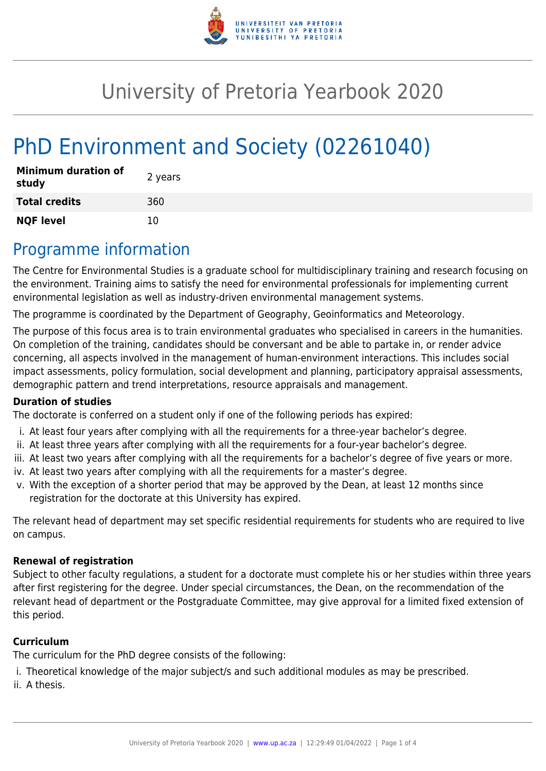

# University of Pretoria Yearbook 2020

# PhD Environment and Society (02261040)

| <b>Minimum duration of</b><br>study | 2 years |
|-------------------------------------|---------|
| <b>Total credits</b>                | 360     |
| <b>NQF level</b>                    | 10      |

# Programme information

The Centre for Environmental Studies is a graduate school for multidisciplinary training and research focusing on the environment. Training aims to satisfy the need for environmental professionals for implementing current environmental legislation as well as industry-driven environmental management systems.

The programme is coordinated by the Department of Geography, Geoinformatics and Meteorology.

The purpose of this focus area is to train environmental graduates who specialised in careers in the humanities. On completion of the training, candidates should be conversant and be able to partake in, or render advice concerning, all aspects involved in the management of human-environment interactions. This includes social impact assessments, policy formulation, social development and planning, participatory appraisal assessments, demographic pattern and trend interpretations, resource appraisals and management.

#### **Duration of studies**

The doctorate is conferred on a student only if one of the following periods has expired:

- i. At least four years after complying with all the requirements for a three-year bachelor's degree.
- ii. At least three years after complying with all the requirements for a four-year bachelor's degree.
- iii. At least two years after complying with all the requirements for a bachelor's degree of five years or more.
- iv. At least two years after complying with all the requirements for a master's degree.
- v. With the exception of a shorter period that may be approved by the Dean, at least 12 months since registration for the doctorate at this University has expired.

The relevant head of department may set specific residential requirements for students who are required to live on campus.

#### **Renewal of registration**

Subject to other faculty regulations, a student for a doctorate must complete his or her studies within three years after first registering for the degree. Under special circumstances, the Dean, on the recommendation of the relevant head of department or the Postgraduate Committee, may give approval for a limited fixed extension of this period.

#### **Curriculum**

The curriculum for the PhD degree consists of the following:

i. Theoretical knowledge of the major subject/s and such additional modules as may be prescribed.

ii. A thesis.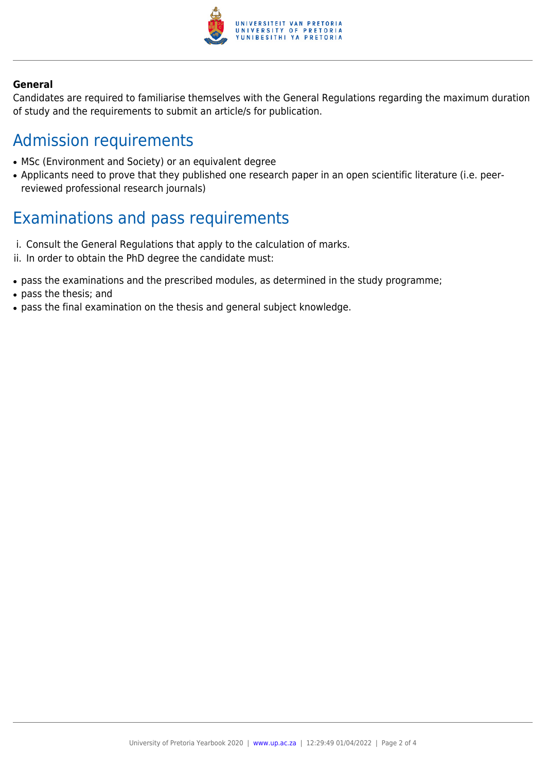

#### **General**

Candidates are required to familiarise themselves with the General Regulations regarding the maximum duration of study and the requirements to submit an article/s for publication.

# Admission requirements

- MSc (Environment and Society) or an equivalent degree
- Applicants need to prove that they published one research paper in an open scientific literature (i.e. peerreviewed professional research journals)

# Examinations and pass requirements

- i. Consult the General Regulations that apply to the calculation of marks.
- ii. In order to obtain the PhD degree the candidate must:
- pass the examinations and the prescribed modules, as determined in the study programme;
- pass the thesis; and
- pass the final examination on the thesis and general subject knowledge.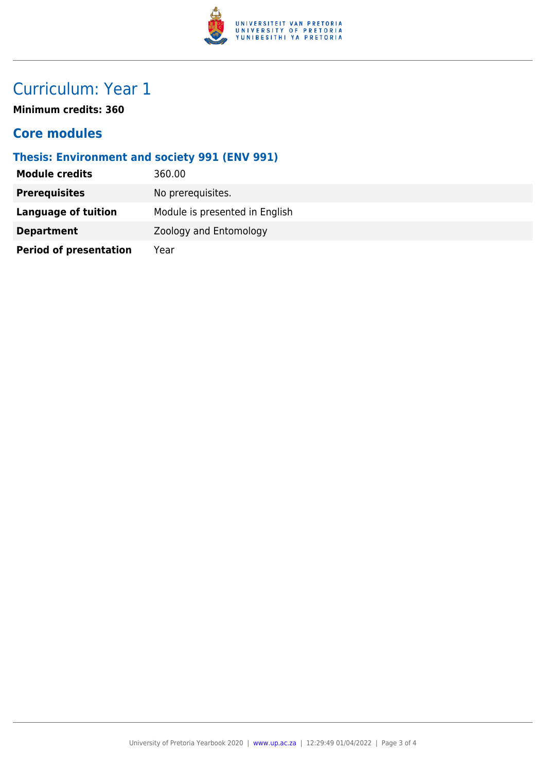

# Curriculum: Year 1

**Minimum credits: 360**

### **Core modules**

### **Thesis: Environment and society 991 (ENV 991)**

| <b>Module credits</b>         | 360.00                         |
|-------------------------------|--------------------------------|
| <b>Prerequisites</b>          | No prerequisites.              |
| Language of tuition           | Module is presented in English |
| <b>Department</b>             | Zoology and Entomology         |
| <b>Period of presentation</b> | Year                           |